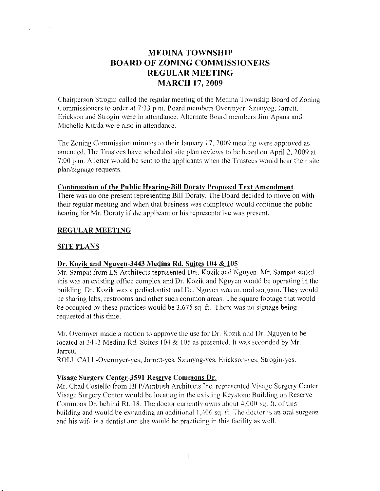# **MEDINA TOWNSHIP BOARD OF ZONING COMMISSIONERS REGULAR MEETING MARCH 17, 2009**

Chairperson Strogin called the regular meeting of the Medina Township Board of Zoning Commissioners to order at 7:33 p.m. Board members Overmyer, Szunyog, Jarrett, Erickson and Strogin were in attendance. Alternate Board members Jim Apana and Michelle Kurda were also in attendance.

The Zoning Commission minutes to their January 17, 2009 meeting were approved as amended. The Trustees have scheduled site plan reviews to be heard on April 2, 2009 at 7:00 p.m. A letter would be sent to the applicants when the Trustees would hear their site plan/signage requests.

#### **Continuation of the Public Hearing-Bill Doraty Proposed Text Amendment**

There was no one present representing Bill Doraty. The Board decided to move on with their regular meeting and when that business was completed would continue the public hearing for Mr. Doraty if the applicant or his representative was present.

## **REGULAR MEETING**

## **SITE PLANS**

 $\mathbf{J}$ 

## Dr. Kozik and Nguyen-3443 Medina Rd. Suites 104 & 105

Mr. Sampat from LS Architects represented Drs. Kozik and Nguyen. Mr. Sampat stated this was an existing office complex and Dr. Kozik and Nguyen would be operating in the building. Dr. Kozik was a pediadontist and Dr. Nguyen was an oral surgeon. They would be sharing labs, restrooms and other such common areas. The square footage that would be occupied by these practices would be  $3,675$  sq. ft. There was no signage being requested at this time.

Mr. Overmyer made a motion to approve the use for Dr. Kozik and Dr. Nguyen to be located at 3443 Medina Rd. Suites 104 & 105 as presented. It was seconded by Mr. Jarrett.

ROLL CALL-Overmyer-yes, Jarrett-yes, Szunyog-yes, Erickson-yes, Strogin-yes.

## Visage Surgery Center-3591 Reserve Commons Dr.

Mr. Chad Costello from HFP/Ambush Architects Inc. represented Visage Surgery Center. Visage Surgery Center would be locating in the existing Keystone Building on Reserve Commons Dr. behind Rt. 18. The doctor currently owns about 4,000-sq. ft. of this building and would be expanding an additional 1,406 sq. ft. The doctor is an oral surgeon and his wife is a dentist and she would be practicing in this facility as well.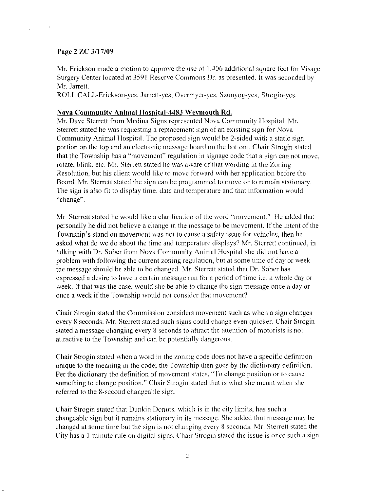## Page 2 ZC 3/17/09

Mr. Erickson made a motion to approve the use of  $1,406$  additional square feet for Visage Surgery Center located at 3591 Rescrve Commons I)r. as presented. Itwas scconded by Mr. Jarrett.

ROLL CALL-Erickson-yes. Jarrett-yes, Overmyer-yes, Szunyog-yes, Strogin-yes.

#### Nova Community Animal Hospital-4483 Weymouth Rd.

Mr. Dave Sterrett from Medina Signs represented Nova Community Hospital. Mr. Sterrett stated he was requesting a replacement sign of an existing sign for Nova Community Animal Hospital. The proposed sign would be 2-sided with a static sign portion on the top and an electronic message board on the bottom. Chair Strogin stated that the Township has a "movement" regulation in signage code that a sign can not move, rotate, blink, etc. Mr. Sterrett stated he was aware of that wording in the Zoning Resolution, but his client would like to move forward with her application before the Board. Mr. Sterrett stated the sign can be programmed to move or to remain stationary. The sign is also fit to display time, date and temperature and that information would "change".

Mr. Sterrett stated he would like a clarification of the word "movement." He added that personally he did not believe a change in the message to be movement. If the intent of the Township's stand on movement was not to cause a safety issue for vehicles, then he asked what do we do about the time and temperature displays? Mr. Sterrett continued, in talking with Dr. Sober from Nova Community Animal Hospital she did not have a problem with fbllowing the current zoning regulation, but at some timc of day or week the message should be able to be changed. Mr. Sterrett stated that Dr. Sober has expressed a desire to have a certain message run for a period of time i.e. a whole day or week. If that was the case, would she be able to change the sign message once a day or once a week if the Township would not consider that movement?

Chair Strogin statcd the Commission considers movement such as when a sign changes every 8 seconds. Mr. Sterrett stated such signs could change even quicker. Chair Strogin stated a message changing every 8 seconds to attract the attention of motorists is not attractive to the Township and can be potentially dangerous.

Chair Strogin stated when a word in the zoning code does not have a specific definition unique to the meaning in the code; the Township then goes by the dictionary definition. Per the dictionary the definition of movement states. "To change position or to cause something to change position." Chair Strogin stated that is what she meant when she referred to the 8-second changeable sign.

Chair Strogin stated that Dunkin Donuts, which is in the city limits, has such a changeable sign but it remains stationary in its message. She added that message may be changed at some time but the sign is not changing every 8 seconds. Mr. Sterrett stated the City has a 1-minute rule on digital signs. Chair Strogin stated the issue is once such a sign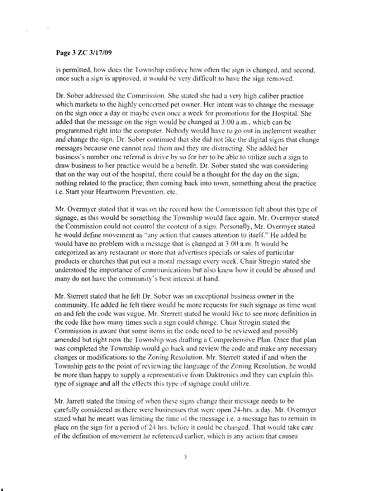#### Page 3 ZC 3/17/09

is permitted, how does the Township enforce how often the sign is changed, and second, once such a sign is approved, it would be very difficult to have the sign removed.

Dr. Sober addressed the Commission. She stated she had a very high caliber practice which markets to the highly concerned pet owner. Her intent was to change the message on the sign once a day or maybe even once a week for promotions for the Hospital. She added that the message on the sign would be changed at  $3:00$  a.m., which can be programmed right into the computer. Nobody would have to go out in inclement weather and change thc sign. Dr. Sober continucd that she did not Iike the digital signs that change messages because one cannot read them and they are distracting. She added her business's number one referral is drive by so for her to be able to utilize such a sign to draw business to her practice would be a benefit. Dr. Sober stated she was considering that on the way out of the hospital, there could be a thought for the day on the sign; nothing related to the practice; then coming back into town, something about the practice i.e. Start your Heartworm Prevention, etc.

Mr. Overmyer stated that it was on the record how the Commission felt about this type of signage, as this would be something the Township would face again. Mr. Overmyer stated the Commission could not control the content of a sign. Personally, Mr. Overmyer stated he would define movement as "any action that causes attention to itself." He added he would have no problem with a message that is changed at  $3:00$  a.m. It would be categorized as any restaurant or store that advertises specials or sales of particular products or churches that put out a moral message every week. Chair Strogin stated she understood the importance of communications but also knew how it could be abused and many do not have the community's best interest at hand.

Mr. Sterrett stated that he felt Dr. Sober was an exceptional business owner in the community. He added he felt there would be more requests for such signage as time went on and felt the code was vague. Mr. Sterrett stated he would like to see more definition in the code like how many times such a sign could change. Chair Strogin stated the Commission is aware that some items in the code need to be reviewed and possibly amended but right now the Township was drafting a Comprehensive Plan. Once that plan was completed the Township would go back and review the code and make any necessary changes or modifications to the Zoning Resolution. Mr. Sterrett stated if and when the Township gets to the point of reviewing the language of the Zoning Resolution, he would be more than happy to supply a representative from Daktronics and they can explain this type of signage and all the effects this type of signage could utilize.

Mr. Jarrett stated the timing of when these signs change their message needs to be carefully considered as there were businesses that were open 24-hrs. a day. Mr. Overmyer stated what he meant was limiting the time of the message i.e. a message has to remain in place on the sign for a period of 24 hrs. before it could be changed. That would take care of the definition of movement he referenced earlier, which is any action that causes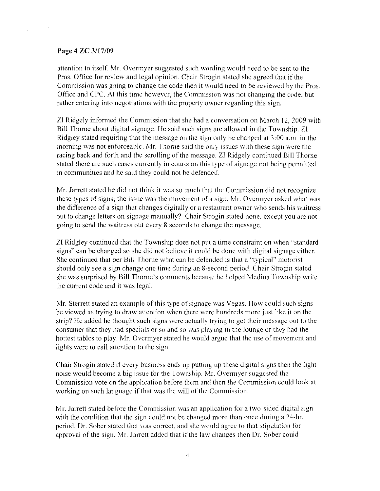#### Page 4 ZC 3/17/09

attention to itself. Mr. Overmyer suggested such wording would need to be sent to the Pros. Office for review and legal opinion. Chair Strogin stated she agreed that if the Commission was going to change the code then it would need to be reviewed by the Pros. Office and CPC. At this time however, the Commission was not changing the code, but rather entering into negotiations with the property owner regarding this sign.

ZI Ridgely informed the Commission that she had a conversation on March 12, 2009 with Bill Thorne about digital signage. He said such signs are allowed in the Township. ZI Ridgley stated requiring that the message on the sign only be changed at 3:00 a.rn. in the morning was not enforceable. Mr. Thorne said the only issues with these sign were the racing back and forth and the scrolling of the message. ZI Ridgely continued Bill Thorne stated there are such cases currently in courts on this type of signage not being permitted in communities and he said they could not be defended.

Mr. Jarrett stated he did not think it was so much that the Commission did not recognize these types of signs; the issue was the movement of a sign. Mr. Overmyer asked what was the difference of a sign that changes digitally or a restaurant owner who sends his waitress out to change letters on signage manually? Chait Strogin stated none, cxcept vou are not going to send the waitress out every 8 seconds to change the message.

ZI Ridgley continued that the Township does not put a time constraint on when "standard signs" can be changed so she did not believe it could be done with digital signage either. She continued that per Bill Thorne what can be defended is that a "typical" motorist should only see a sign change one time during an 8-second period. Chair Strogin stated she was surprised by Bill Thorne's comments because he helped Medina Township write the current code and it was legal.

Mr. Sterrett stated an example of this type of signage was Vegas. How could such signs be viewed as trying to draw attention when there were hundreds more just like it on the strip? He added he thought such signs were actually trying to get their message out to the consumer that they had specials or so and so was playing in the lounge or they had the hottest tables to play. Mr. Overmyer stated he would argue that the use of movement and lights were to call attention to the sign.

Chair Strogin stated if every business ends up putting up these digital signs then the light noise would become a big issue for the Township. Mr. Overmyer suggested the Commission vote on the application before them and then the Commission could look at working on such language if that was the will of the Commission.

Mr. Jarrett stated before the Commission was an application for a two-sided digital sign with the condition that the sign could not be changed more than once during a  $24$ -hr. period. Dr. Sober stated that was correct, and she would agree to that stipulation for approval of the sign. Mr. Jarrett added that if the law changes then Dr. Sober could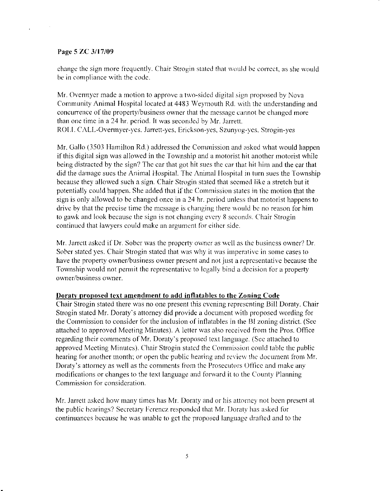#### Page 5 ZC 3/17/09

change the sign more frequently. Chair Strogin stated that would be correct, as she would be in compliance with the code.

Mr. Overmyer made a motion to approve a two-sided digital sign proposed by Nova Community Animal Hospital located at 4483 Weymouth Rd. with the understanding and concurrence of the property/business owner that the message cannot be changed more than one time in a 24 hr. period. It was seconded by Mr. Jarrett. ROLL CALL-Overmyer-yes, Jarrett-yes, Erickson-yes, Szunyog-ves, Strogin-yes

Mr. Gallo (3503 Hamilton Rd.) addressed the Commission and asked what would happen if this digital sign was allowed in the Township and a motorist hit another motorist while being distracted by the sign? The car that got hit sues the car that hit him and the car that did the damage sues the Animal Hospital. The Animal Hospital in turn sues the Township because they allowed such a sign. Chair Strogin stated that secmed like a stretch but it potentially could happen. She added that if the Commission states in the motion that the sign is only allowed to be changed once in a 24 hr. period unless that motorist happens to drive by that the precise time the message is changing there would be no reason for him to gawk and look because the sign is not changing evcr\,8 seconds. C'hair Strogin continued that lawyers could make an argument for either side.

Mr. Jarrett asked if Dr. Sober was the property owner as well as the business owner? Dr. Sober stated yes. Chair Strogin stated that was why it was imperative in some cases to have the property owner/business owner present and not just a representative because the Township would not permit the representative to legally bind a decision for a property owner/business owner.

#### Doraty proposed text amendment to add inflatables to the Zoning Code

Chair Strogin stated there was no one present this evening representing Bill Doraty. Chair Strogin stated Mr. Doraty's attorney did provide a document with proposed wording for the Commission to consider for the inclusion of inflatables in the BI zoning district. (See attached to approved Meeting Minutes). A letter was also receivcd from the Pros. Office regarding their comments of Mr. Doraty's proposed text language. (See attached to approved Meeting Minutes). Chair Strogin stated the Commission could table the public hearing for another month; or open the public hearing and review the document from Mr. Doraty's attorney as well as the comments from the Prosecutors Office and make any modifications or changes to the text language and forward it to the County Planning Commission for consideration.

Mr. Jarrett asked how many times has Mr. Doraty and or his attorney not been present at the public hearings? Secretary Ferencz responded that Mr. Doraty has asked for continuances because he was unable to get the proposed language drafted and to the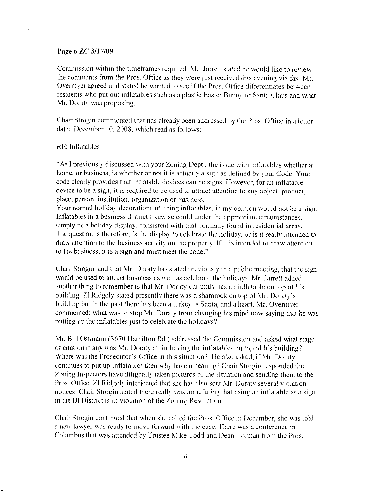#### Page 6 ZC 3/17/09

Commission within the timeframes required. Mr. Jarrett stated he would like to review the comments from the Pros. Office as they were just received this evening via fax. Mr. Overmyer agreed and stated he wanted to see if the Pros. Office differentiates between residents who put out inflatables such as a plastic Easter Bunny or Santa Claus and what Mr. Doraty was proposing.

Chair Strogin commented that has already been addressed by the Pros. Office in a letter dated December 10, 2008, which read as follows:

#### RE: Inflatables

"As I previously discussed with your Zoning Dept., the issue with inflatables whether at home, or business, is whether or not it is actually a sign as defined by your Code. Your code clearly provides that inflatable devices can be signs. However, for an inflatable device to be a sign, it is required to be used to attract attention to any object, product, place, person, institution, organization or business.

Your normal holiday decorations utilizing inflatables, in my opinion would not be a sign. Inflatables in a business district likewise could under the appropriate circumstances. simply be a holiday display, consistent with that normally found in residential areas. The question is therefore, is the display to celebrate the holiday, or is it really intended to draw attention to the business activity on the property. If it is intended to draw attention to the business, it is a sign and must meet the code."

Chair Strogin said that Mr. Doraty has stated previously in a public meeting, that the sign would be used to attract business as well as celebrate the holidays. Mr. Jarrett added another thing to remember is that Mr. Doraty currently has an inflatable on top of his building. ZI Ridgely stated presently there was a shamrock on top of Mr. Doraty's building but in the past there has been a turkey, a Santa, and a heart. Mr. Overmyer commented; what was to stop Mr. Doraty from changing his mind now saying that he was putting up the inflatables just to celebrate the holidays?

Mr. Bill Ostmann (3670 Hamilton Rd.) addressed the Commission and asked what stage of citation if any was Mr. Doraty at for having the inflatables on top of his building? Where was the Prosecutor's Office in this situation? He also asked, if Mr. Doraty continues to put up inflatables then why have a hearing? Chair Strogin responded the Zoning Inspectors have diligently taken pictures of the situation and sending them to the Pros. Office. ZI Ridgely interjected that she has also sent Mr. Doraty several violation notices. Chair Strogin stated there really was no refuting that using an inflatable as a sign in the BI District is in violation of the Zoning Resolution.

Chair Strogin continued that when she called the Pros. Office in December, she was told a new lawyer was ready to move forward with the case. There was a conference in Columbus that was attended by Trustee Mike Todd and Dean Holman from the Pros.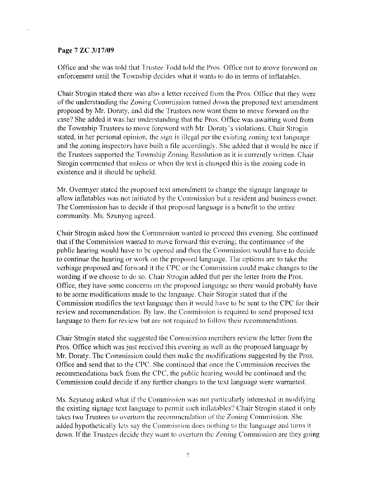#### Page 7 ZC 3/17/09

Office and she was told that Trustee Todd told the Pros. Office not to move foreword on enforcement until the Township decides what it wants to do in terms of inflatables.

Chair Strogin stated there was also a letter received from the Pros. Office that they were of the understanding the Zoning Commission turned down the proposed text amendment proposed by Mr. Doraty, and did the Trustees now want them to move forward on the case? She added it was her understanding that the Pros. Office was awaiting word from the Township Trustees to move foreword with Mr. Doraty's violations. Chair Strogin stated, in her personal opinion, the sign is illegal per the existing zoning text language and the zoning inspectors have built a file accordingly. She added that it would be nice if the Trustees supported the Township Zoning Resolution as it is currently written. Chair Strogin commented that unless or when the text is changed this is the zoning code in existence and it should be upheld.

Mr. Overmyer stated the proposed text amendment to change the signage language to allow inflatables was not initiated by the Commission but a resident and business owner. The Commission has to decide if that proposed language is a benefit to the entire community. Ms. Szunyog agreed.

Chair Strogin asked how the Commission wanted to proceed this evening. She continued that if the Commission wanted to move forward this evening; the continuance of the public hearing would have to be opened and then the Commission would have to decide to continue the hearing or work on the proposed language. The options are to take the verbiage proposed and forward it the CPC or the Commission could make changes to the wording if we choose to do so. Chair Strogin added that per the letter from the Pros. Oflice, they have some concerns on the proposed language so there would probably have to be some modifications made to the language. Chair Strogin stated that if the Commission modifies the text language then it would have to be sent to the CPC for their review and recommendation. By law, the Commission is required to send proposed text language to them for review but are not required to follow their recommendations.

Chair Strogin stated she suggested the Commission members review the letter from the Pros. Office which was just received this evening as well as the proposed language by Mr. Doraty. The Commission could then make the modifications suggested by the Pros. Office and send that to the CPC. She continued that once the Commission receives the recommendations back from the CPC, the public hearing would be continued and the Commission could decide if any further changes to the text language were warranted.

Ms. Szyunog asked what if the Commission was not particularly interested in modifying the existing signage text language to permit such inflatables? Chair Strogin stated it only takes two Trustees to overturn the recommendation of the Zoning Commission. She added hypothetically lets say the Commission does nothing to the language and turns it down. If the Trustees decide they want to overturn the Zoning Commission are they going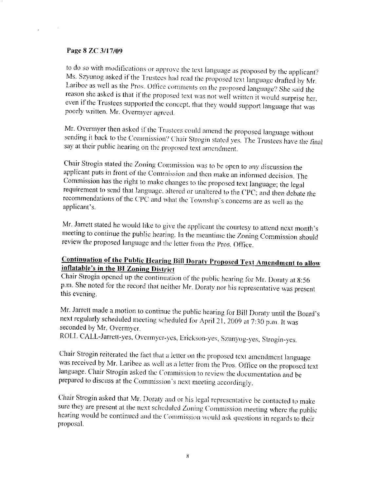#### Page 8 ZC 3/17/09

to do so with modifications or approve the text language as proposed by the applicant? Ms. Szyunog asked if the Trustees had read the proposed text language drafted by Mr. Laribee as well as the Pros. Office comments on the proposed language? She said the reason she asked is that if the proposed text was not well written it would surprise her, even if the Trustees supported the concept, that they would support language that was poorly written. Mr. Overmyer agreed.

Mr. Overmyer then asked if the Trustees could amend the proposed language without sending it back to the Commission? Chair Strogin stated yes. The Trustees have the final say at their public hearing on the proposed text amendment.

Chair Strogin stated the Zoning Commission was to be open to any discussion the applicant puts in front of the Commission and then make an informed decision. The Commission has the right to make changes to the proposed text language; the legal requirement to send that language, altered or unaltered to the CPC; and then debate the recommendations of the CPC and what the Township's concerns are as well as the applicant's.

Mr. Jarrett stated he would like to give the applicant the courtesy to attend next month's meeting to continue the public hearing. In the meantime the Zoning Commission should review the proposed language and the letter from the Pros. Office.

# **Continuation of the Public Hearing Bill Doraty Proposed Text Amendment to allow** inflatable's in the BI Zoning District

Chair Strogin opened up the continuation of the public hearing for Mr. Doraty at 8:56 p.m. She noted for the record that neither Mr. Doraty nor his representative was present this evening.

Mr. Jarrett made a motion to continue the public hearing for Bill Doraty until the Board's next regularly scheduled meeting scheduled for April 21, 2009 at 7:30 p.m. It was seconded by Mr. Overmyer.

ROLL CALL-Jarrett-yes, Overmyer-yes, Erickson-yes, Szunyog-yes, Strogin-yes.

Chair Strogin reiterated the fact that a letter on the proposed text amendment language was received by Mr. Laribee as well as a letter from the Pros. Office on the proposed text language. Chair Strogin asked the Commission to review the documentation and be prepared to discuss at the Commission's next meeting accordingly.

Chair Strogin asked that Mr. Doraty and or his legal representative be contacted to make sure they are present at the next scheduled Zoning Commission meeting where the public hearing would be continued and the Commission would ask questions in regards to their proposal.